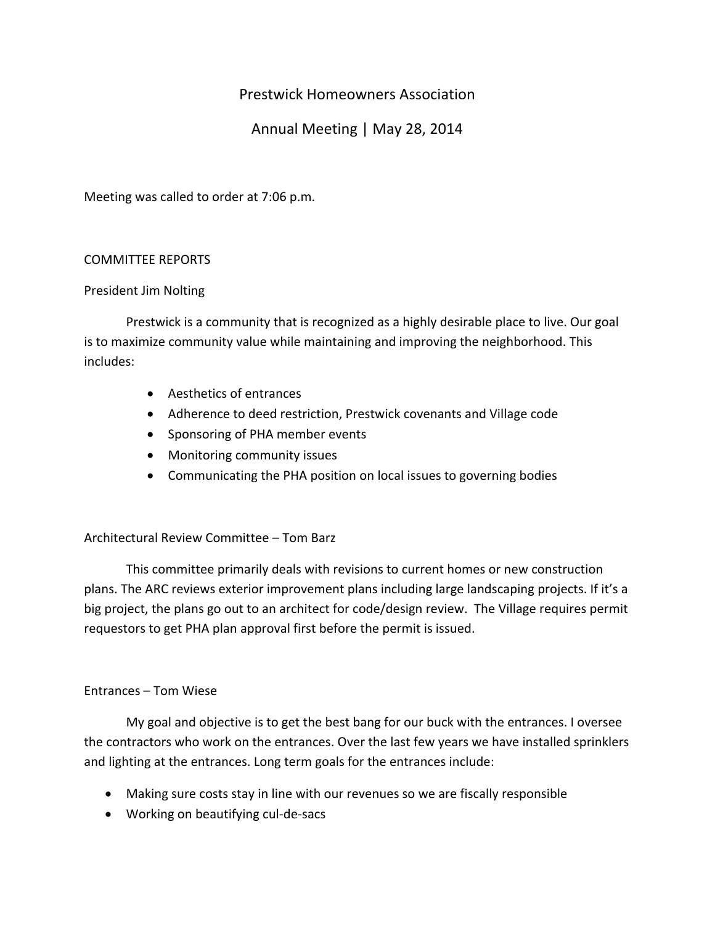# Prestwick Homeowners Association

# Annual Meeting | May 28, 2014

Meeting was called to order at 7:06 p.m.

## COMMITTEE REPORTS

## President Jim Nolting

Prestwick is a community that is recognized as a highly desirable place to live. Our goal is to maximize community value while maintaining and improving the neighborhood. This includes:

- Aesthetics of entrances
- Adherence to deed restriction, Prestwick covenants and Village code
- Sponsoring of PHA member events
- Monitoring community issues
- Communicating the PHA position on local issues to governing bodies

## Architectural Review Committee – Tom Barz

This committee primarily deals with revisions to current homes or new construction plans. The ARC reviews exterior improvement plans including large landscaping projects. If it's a big project, the plans go out to an architect for code/design review. The Village requires permit requestors to get PHA plan approval first before the permit is issued.

## Entrances – Tom Wiese

My goal and objective is to get the best bang for our buck with the entrances. I oversee the contractors who work on the entrances. Over the last few years we have installed sprinklers and lighting at the entrances. Long term goals for the entrances include:

- Making sure costs stay in line with our revenues so we are fiscally responsible
- Working on beautifying cul‐de‐sacs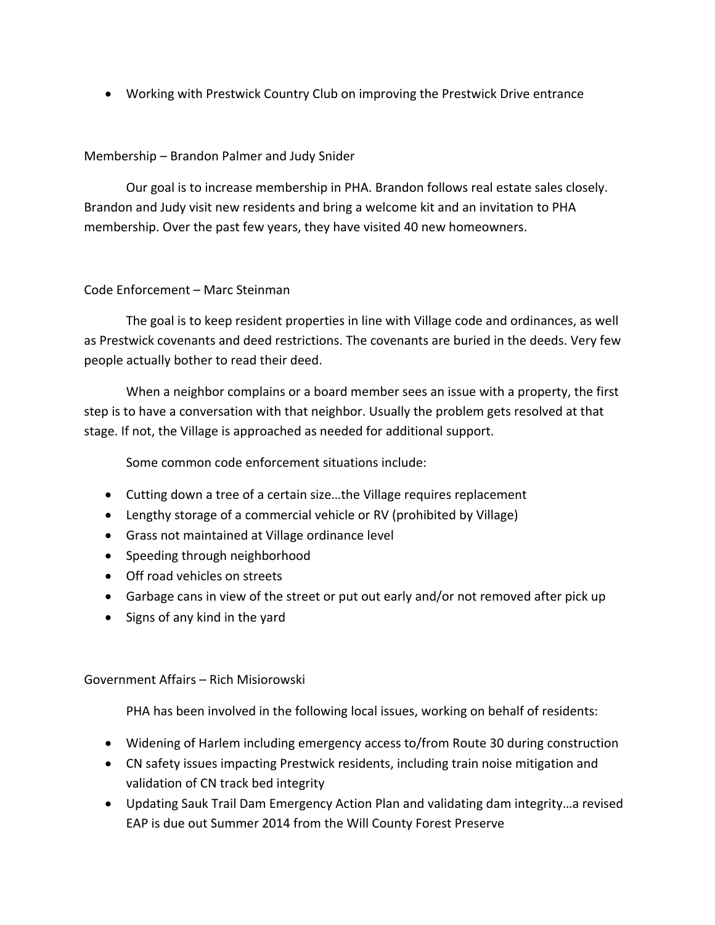• Working with Prestwick Country Club on improving the Prestwick Drive entrance

# Membership – Brandon Palmer and Judy Snider

Our goal is to increase membership in PHA. Brandon follows real estate sales closely. Brandon and Judy visit new residents and bring a welcome kit and an invitation to PHA membership. Over the past few years, they have visited 40 new homeowners.

## Code Enforcement – Marc Steinman

The goal is to keep resident properties in line with Village code and ordinances, as well as Prestwick covenants and deed restrictions. The covenants are buried in the deeds. Very few people actually bother to read their deed.

When a neighbor complains or a board member sees an issue with a property, the first step is to have a conversation with that neighbor. Usually the problem gets resolved at that stage. If not, the Village is approached as needed for additional support.

Some common code enforcement situations include:

- Cutting down a tree of a certain size…the Village requires replacement
- Lengthy storage of a commercial vehicle or RV (prohibited by Village)
- Grass not maintained at Village ordinance level
- Speeding through neighborhood
- Off road vehicles on streets
- Garbage cans in view of the street or put out early and/or not removed after pick up
- Signs of any kind in the yard

## Government Affairs – Rich Misiorowski

PHA has been involved in the following local issues, working on behalf of residents:

- Widening of Harlem including emergency access to/from Route 30 during construction
- CN safety issues impacting Prestwick residents, including train noise mitigation and validation of CN track bed integrity
- Updating Sauk Trail Dam Emergency Action Plan and validating dam integrity…a revised EAP is due out Summer 2014 from the Will County Forest Preserve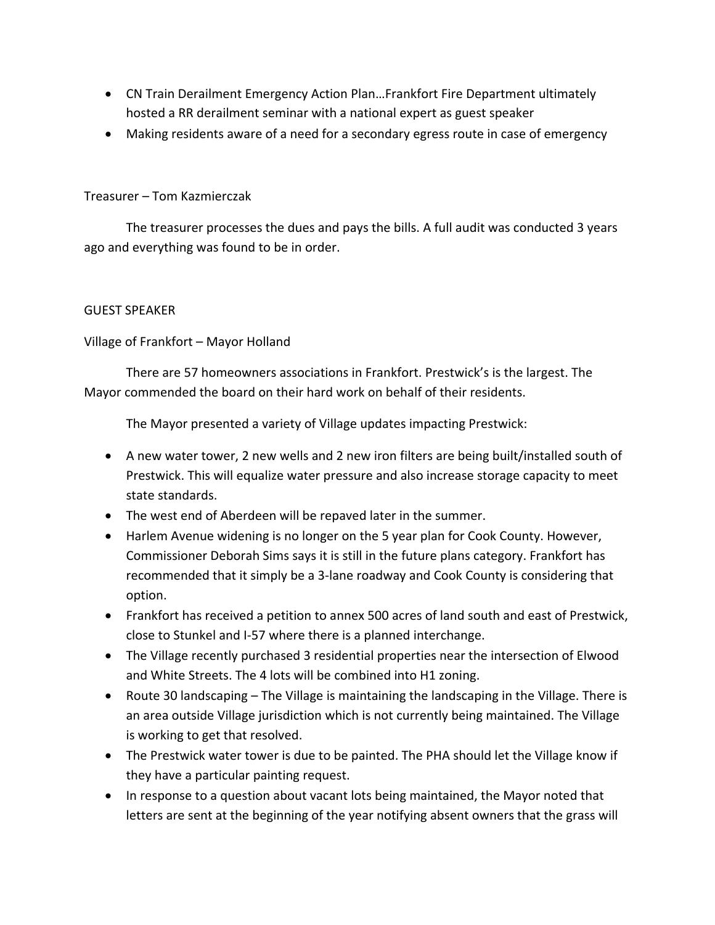- CN Train Derailment Emergency Action Plan…Frankfort Fire Department ultimately hosted a RR derailment seminar with a national expert as guest speaker
- Making residents aware of a need for a secondary egress route in case of emergency

## Treasurer – Tom Kazmierczak

The treasurer processes the dues and pays the bills. A full audit was conducted 3 years ago and everything was found to be in order.

## GUEST SPEAKER

Village of Frankfort – Mayor Holland

There are 57 homeowners associations in Frankfort. Prestwick's is the largest. The Mayor commended the board on their hard work on behalf of their residents.

The Mayor presented a variety of Village updates impacting Prestwick:

- A new water tower, 2 new wells and 2 new iron filters are being built/installed south of Prestwick. This will equalize water pressure and also increase storage capacity to meet state standards.
- The west end of Aberdeen will be repaved later in the summer.
- Harlem Avenue widening is no longer on the 5 year plan for Cook County. However, Commissioner Deborah Sims says it is still in the future plans category. Frankfort has recommended that it simply be a 3‐lane roadway and Cook County is considering that option.
- Frankfort has received a petition to annex 500 acres of land south and east of Prestwick, close to Stunkel and I‐57 where there is a planned interchange.
- The Village recently purchased 3 residential properties near the intersection of Elwood and White Streets. The 4 lots will be combined into H1 zoning.
- Route 30 landscaping The Village is maintaining the landscaping in the Village. There is an area outside Village jurisdiction which is not currently being maintained. The Village is working to get that resolved.
- The Prestwick water tower is due to be painted. The PHA should let the Village know if they have a particular painting request.
- In response to a question about vacant lots being maintained, the Mayor noted that letters are sent at the beginning of the year notifying absent owners that the grass will